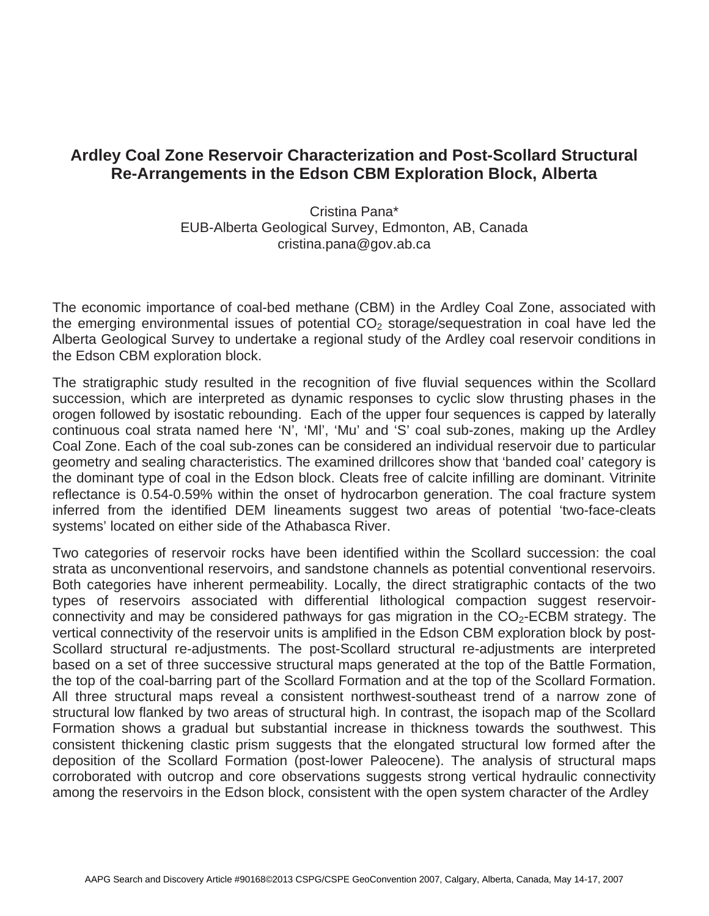## **Ardley Coal Zone Reservoir Characterization and Post-Scollard Structural Re-Arrangements in the Edson CBM Exploration Block, Alberta**

Cristina Pana\* EUB-Alberta Geological Survey, Edmonton, AB, Canada cristina.pana@gov.ab.ca

The economic importance of coal-bed methane (CBM) in the Ardley Coal Zone, associated with the emerging environmental issues of potential  $CO<sub>2</sub>$  storage/sequestration in coal have led the Alberta Geological Survey to undertake a regional study of the Ardley coal reservoir conditions in the Edson CBM exploration block.

The stratigraphic study resulted in the recognition of five fluvial sequences within the Scollard succession, which are interpreted as dynamic responses to cyclic slow thrusting phases in the orogen followed by isostatic rebounding. Each of the upper four sequences is capped by laterally continuous coal strata named here 'N', 'Ml', 'Mu' and 'S' coal sub-zones, making up the Ardley Coal Zone. Each of the coal sub-zones can be considered an individual reservoir due to particular geometry and sealing characteristics. The examined drillcores show that 'banded coal' category is the dominant type of coal in the Edson block. Cleats free of calcite infilling are dominant. Vitrinite reflectance is 0.54-0.59% within the onset of hydrocarbon generation. The coal fracture system inferred from the identified DEM lineaments suggest two areas of potential 'two-face-cleats systems' located on either side of the Athabasca River.

Two categories of reservoir rocks have been identified within the Scollard succession: the coal strata as unconventional reservoirs, and sandstone channels as potential conventional reservoirs. Both categories have inherent permeability. Locally, the direct stratigraphic contacts of the two types of reservoirs associated with differential lithological compaction suggest reservoirconnectivity and may be considered pathways for gas migration in the  $CO<sub>2</sub>$ -ECBM strategy. The vertical connectivity of the reservoir units is amplified in the Edson CBM exploration block by post-Scollard structural re-adjustments. The post-Scollard structural re-adjustments are interpreted based on a set of three successive structural maps generated at the top of the Battle Formation, the top of the coal-barring part of the Scollard Formation and at the top of the Scollard Formation. All three structural maps reveal a consistent northwest-southeast trend of a narrow zone of structural low flanked by two areas of structural high. In contrast, the isopach map of the Scollard Formation shows a gradual but substantial increase in thickness towards the southwest. This consistent thickening clastic prism suggests that the elongated structural low formed after the deposition of the Scollard Formation (post-lower Paleocene). The analysis of structural maps corroborated with outcrop and core observations suggests strong vertical hydraulic connectivity among the reservoirs in the Edson block, consistent with the open system character of the Ardley